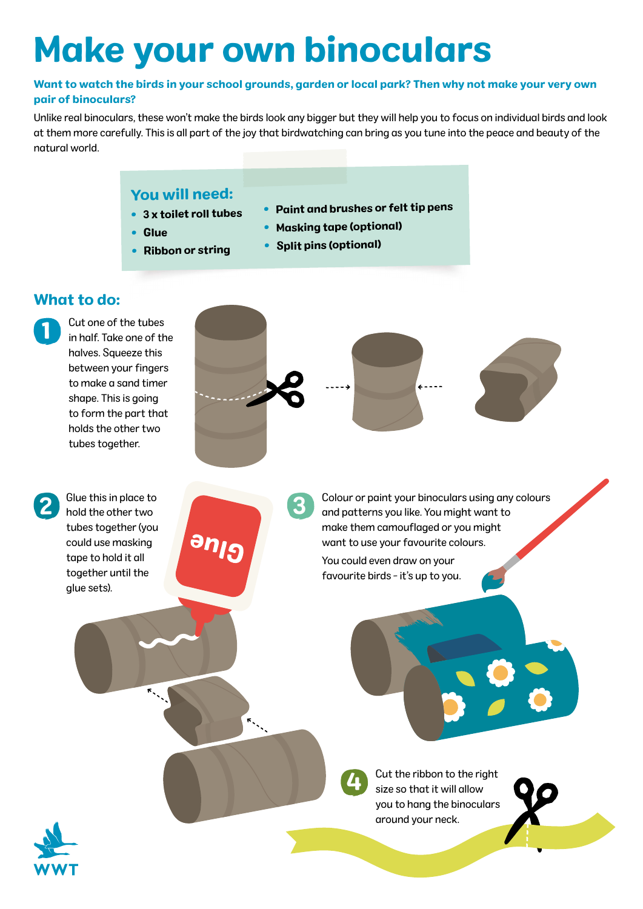# Make your own binoculars

#### Want to watch the birds in your school grounds, garden or local park? Then why not make your very own pair of binoculars?

Unlike real binoculars, these won't make the birds look any bigger but they will help you to focus on individual birds and look at them more carefully. This is all part of the joy that birdwatching can bring as you tune into the peace and beauty of the natural world.

#### You will need:

• 3 x toilet roll tubes

Ribbon or string

• Glue

•

- Paint and brushes or felt tip pens
- Masking tape (optional)
- Split pins (optional)

#### What to do:

2

1

Cut one of the tubes in half. Take one of the halves. Squeeze this between your fingers to make a sand timer shape. This is going to form the part that holds the other two tubes together.



Glue this in place to hold the other two tubes together (you could use masking tape to hold it all together until the glue sets).

3

Colour or paint your binoculars using any colours and patterns you like. You might want to make them camouflaged or you might want to use your favourite colours.

You could even draw on your favourite birds - it's up to you.



Cut the ribbon to the right size so that it will allow you to hang the binoculars around your neck.